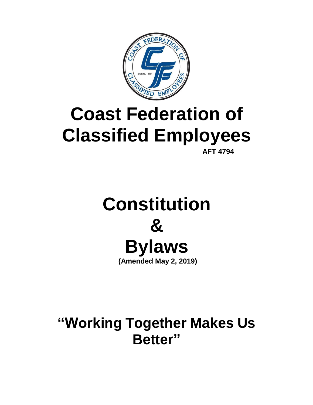

# **Coast Federation of Classified Employees**

**AFT 4794**

## **Constitution & Bylaws (Amended May 2, 2019)**

**"Working Together Makes Us Better"**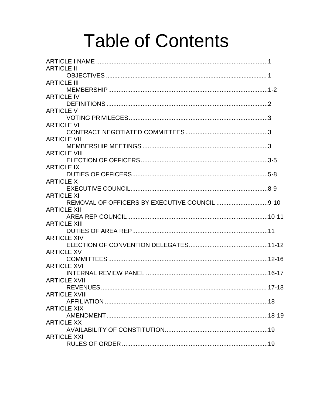# **Table of Contents**

| <b>ARTICLE II</b>                                |  |
|--------------------------------------------------|--|
|                                                  |  |
| <b>ARTICLE III</b>                               |  |
|                                                  |  |
| <b>ARTICLE IV</b>                                |  |
|                                                  |  |
| <b>ARTICLE V</b>                                 |  |
|                                                  |  |
| <b>ARTICLE VI</b>                                |  |
|                                                  |  |
| <b>ARTICLE VII</b>                               |  |
|                                                  |  |
| <b>ARTICLE VIII</b>                              |  |
|                                                  |  |
| <b>ARTICLE IX</b>                                |  |
|                                                  |  |
| <b>ARTICLE X</b>                                 |  |
|                                                  |  |
| <b>ARTICLE XI</b>                                |  |
| REMOVAL OF OFFICERS BY EXECUTIVE COUNCIL 9-10    |  |
| <b>ARTICLE XII</b>                               |  |
|                                                  |  |
| <b>ARTICLE XIII</b>                              |  |
|                                                  |  |
| <b>ARTICLE XIV</b>                               |  |
|                                                  |  |
| <b>ARTICLE XV</b>                                |  |
|                                                  |  |
| <b>ARTICLE XVI</b>                               |  |
|                                                  |  |
| <b>ARTICLE XVII</b>                              |  |
| REVENUES ……………………………………………………………………………………… 17-18 |  |
| <b>ARTICLE XVIII</b>                             |  |
|                                                  |  |
| <b>ARTICLE XIX</b>                               |  |
|                                                  |  |
| <b>ARTICLE XX</b>                                |  |
|                                                  |  |
| <b>ARTICLE XXI</b>                               |  |
|                                                  |  |
|                                                  |  |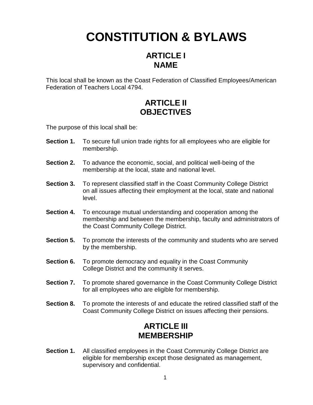## **CONSTITUTION & BYLAWS**

#### **ARTICLE I NAME**

This local shall be known as the Coast Federation of Classified Employees/American Federation of Teachers Local 4794.

#### **ARTICLE II OBJECTIVES**

The purpose of this local shall be:

- **Section 1.** To secure full union trade rights for all employees who are eligible for membership.
- **Section 2.** To advance the economic, social, and political well-being of the membership at the local, state and national level.
- **Section 3.** To represent classified staff in the Coast Community College District on all issues affecting their employment at the local, state and national level.
- **Section 4.** To encourage mutual understanding and cooperation among the membership and between the membership, faculty and administrators of the Coast Community College District.
- **Section 5.** To promote the interests of the community and students who are served by the membership.
- **Section 6.** To promote democracy and equality in the Coast Community College District and the community it serves.
- **Section 7.** To promote shared governance in the Coast Community College District for all employees who are eligible for membership.
- **Section 8.** To promote the interests of and educate the retired classified staff of the Coast Community College District on issues affecting their pensions.

#### **ARTICLE III MEMBERSHIP**

**Section 1.** All classified employees in the Coast Community College District are eligible for membership except those designated as management, supervisory and confidential.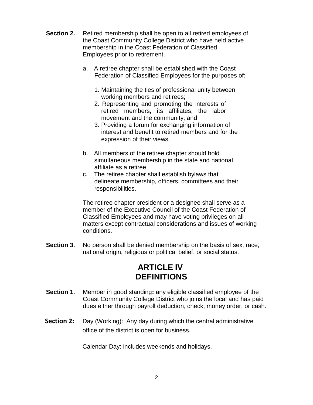- **Section 2.** Retired membership shall be open to all retired employees of the Coast Community College District who have held active membership in the Coast Federation of Classified Employees prior to retirement.
	- a. A retiree chapter shall be established with the Coast Federation of Classified Employees for the purposes of:
		- 1. Maintaining the ties of professional unity between working members and retirees;
		- 2. Representing and promoting the interests of retired members, its affiliates, the labor movement and the community; and
		- 3. Providing a forum for exchanging information of interest and benefit to retired members and for the expression of their views.
	- b. All members of the retiree chapter should hold simultaneous membership in the state and national affiliate as a retiree.
	- c. The retiree chapter shall establish bylaws that delineate membership, officers, committees and their responsibilities.

The retiree chapter president or a designee shall serve as a member of the Executive Council of the Coast Federation of Classified Employees and may have voting privileges on all matters except contractual considerations and issues of working conditions.

**Section 3.** No person shall be denied membership on the basis of sex, race, national origin, religious or political belief, or social status.

#### **ARTICLE IV DEFINITIONS**

- **Section 1.** Member in good standing**:** any eligible classified employee of the Coast Community College District who joins the local and has paid dues either through payroll deduction, check, money order, or cash.
- **Section 2:** Day (Working): Any day during which the central administrative office of the district is open for business.

Calendar Day: includes weekends and holidays.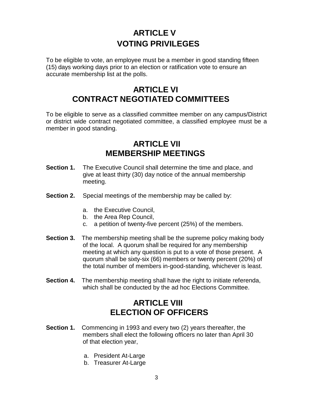## **ARTICLE V VOTING PRIVILEGES**

To be eligible to vote, an employee must be a member in good standing fifteen (15) days working days prior to an election or ratification vote to ensure an accurate membership list at the polls.

#### **ARTICLE VI CONTRACT NEGOTIATED COMMITTEES**

To be eligible to serve as a classified committee member on any campus/District or district wide contract negotiated committee, a classified employee must be a member in good standing.

#### **ARTICLE VII MEMBERSHIP MEETINGS**

- **Section 1.** The Executive Council shall determine the time and place, and give at least thirty (30) day notice of the annual membership meeting.
- **Section 2.** Special meetings of the membership may be called by:
	- a. the Executive Council,
	- b. the Area Rep Council,
	- c. a petition of twenty-five percent (25%) of the members.
- **Section 3.** The membership meeting shall be the supreme policy making body of the local. A quorum shall be required for any membership meeting at which any question is put to a vote of those present. A quorum shall be sixty-six (66) members or twenty percent (20%) of the total number of members in-good-standing, whichever is least.
- **Section 4.** The membership meeting shall have the right to initiate referenda, which shall be conducted by the ad hoc Elections Committee.

#### **ARTICLE VIII ELECTION OF OFFICERS**

- **Section 1.** Commencing in 1993 and every two (2) years thereafter, the members shall elect the following officers no later than April 30 of that election year,
	- a. President At-Large
	- b. Treasurer At-Large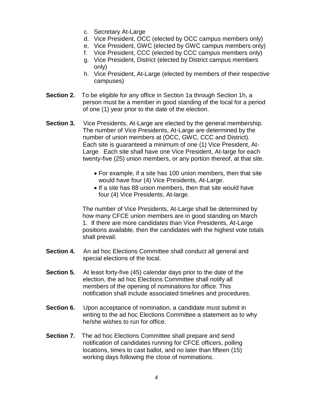- c. Secretary At-Large
- d. Vice President, OCC (elected by OCC campus members only)
- e. Vice President, GWC (elected by GWC campus members only)
- f. Vice President, CCC (elected by CCC campus members only)
- g. Vice President, District (elected by District campus members only)
- h. Vice President, At-Large (elected by members of their respective campuses)
- **Section 2.** To be eligible for any office in Section 1a through Section 1h, a person must be a member in good standing of the local for a period of one (1) year prior to the date of the election.
- **Section 3.** Vice Presidents, At-Large are elected by the general membership. The number of Vice Presidents, At-Large are determined by the number of union members at (OCC, GWC, CCC and District). Each site is guaranteed a minimum of one (1) Vice President, At-Large. Each site shall have one Vice President, At-large for each twenty-five (25) union members, or any portion thereof, at that site.
	- For example, if a site has 100 union members, then that site would have four (4) Vice Presidents, At-Large.
	- If a site has 88 union members, then that site would have four (4) Vice Presidents, At-large.

The number of Vice Presidents, At-Large shall be determined by how many CFCE union members are in good standing on March 1. If there are more candidates than Vice Presidents, At-Large positions available, then the candidates with the highest vote totals shall prevail.

- **Section 4.** An ad hoc Elections Committee shall conduct all general and special elections of the local.
- **Section 5.** At least forty-five (45) calendar days prior to the date of the election, the ad hoc Elections Committee shall notify all members of the opening of nominations for office. This notification shall include associated timelines and procedures.
- **Section 6.** Upon acceptance of nomination, a candidate must submit in writing to the ad hoc Elections Committee a statement as to why he/she wishes to run for office.
- **Section 7.** The ad hoc Elections Committee shall prepare and send notification of candidates running for CFCE officers, polling locations, times to cast ballot, and no later than fifteen (15) working days following the close of nominations.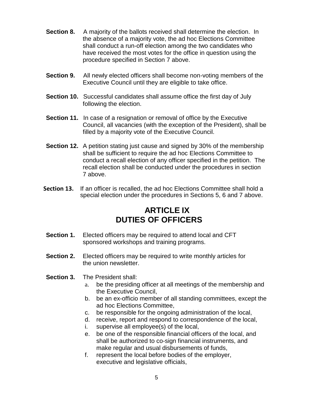- **Section 8.** A majority of the ballots received shall determine the election. In the absence of a majority vote, the ad hoc Elections Committee shall conduct a run-off election among the two candidates who have received the most votes for the office in question using the procedure specified in Section 7 above.
- **Section 9.** All newly elected officers shall become non-voting members of the Executive Council until they are eligible to take office.
- **Section 10.** Successful candidates shall assume office the first day of July following the election.
- **Section 11.** In case of a resignation or removal of office by the Executive Council, all vacancies (with the exception of the President), shall be filled by a majority vote of the Executive Council.
- **Section 12.** A petition stating just cause and signed by 30% of the membership shall be sufficient to require the ad hoc Elections Committee to conduct a recall election of any officer specified in the petition. The recall election shall be conducted under the procedures in section 7 above.
- **Section 13.** If an officer is recalled, the ad hoc Elections Committee shall hold a special election under the procedures in Sections 5, 6 and 7 above.

#### **ARTICLE IX DUTIES OF OFFICERS**

- **Section 1.** Elected officers may be required to attend local and CFT sponsored workshops and training programs.
- **Section 2.** Elected officers may be required to write monthly articles for the union newsletter.
- **Section 3.** The President shall:
	- a. be the presiding officer at all meetings of the membership and the Executive Council,
	- b. be an ex-officio member of all standing committees, except the ad hoc Elections Committee,
	- c. be responsible for the ongoing administration of the local,
	- d. receive, report and respond to correspondence of the local,
	- i. supervise all employee(s) of the local,
	- e. be one of the responsible financial officers of the local, and shall be authorized to co-sign financial instruments, and make regular and usual disbursements of funds,
	- f. represent the local before bodies of the employer, executive and legislative officials,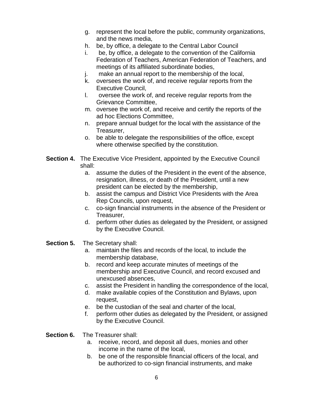- g. represent the local before the public, community organizations, and the news media,
- h. be, by office, a delegate to the Central Labor Council
- i. be, by office, a delegate to the convention of the California Federation of Teachers, American Federation of Teachers, and meetings of its affiliated subordinate bodies,
- j. make an annual report to the membership of the local,
- k. oversees the work of, and receive regular reports from the Executive Council,
- l. oversee the work of, and receive regular reports from the Grievance Committee,
- m. oversee the work of, and receive and certify the reports of the ad hoc Elections Committee,
- n. prepare annual budget for the local with the assistance of the Treasurer,
- o. be able to delegate the responsibilities of the office, except where otherwise specified by the constitution.
- **Section 4.** The Executive Vice President, appointed by the Executive Council shall:
	- a. assume the duties of the President in the event of the absence, resignation, illness, or death of the President, until a new president can be elected by the membership,
	- b. assist the campus and District Vice Presidents with the Area Rep Councils, upon request,
	- c. co-sign financial instruments in the absence of the President or Treasurer,
	- d. perform other duties as delegated by the President, or assigned by the Executive Council.
- **Section 5.** The Secretary shall:
	- a. maintain the files and records of the local, to include the membership database,
	- b. record and keep accurate minutes of meetings of the membership and Executive Council, and record excused and unexcused absences,
	- c. assist the President in handling the correspondence of the local,
	- d. make available copies of the Constitution and Bylaws, upon request,
	- e. be the custodian of the seal and charter of the local,
	- f. perform other duties as delegated by the President, or assigned by the Executive Council.

**Section 6.** The Treasurer shall:

- a. receive, record, and deposit all dues, monies and other income in the name of the local,
- b. be one of the responsible financial officers of the local, and be authorized to co-sign financial instruments, and make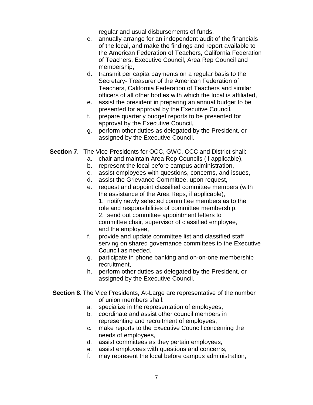regular and usual disbursements of funds,

- c. annually arrange for an independent audit of the financials of the local, and make the findings and report available to the American Federation of Teachers, California Federation of Teachers, Executive Council, Area Rep Council and membership,
- d. transmit per capita payments on a regular basis to the Secretary- Treasurer of the American Federation of Teachers, California Federation of Teachers and similar officers of all other bodies with which the local is affiliated,
- e. assist the president in preparing an annual budget to be presented for approval by the Executive Council,
- f. prepare quarterly budget reports to be presented for approval by the Executive Council,
- g. perform other duties as delegated by the President, or assigned by the Executive Council.
- **Section 7**. The Vice-Presidents for OCC, GWC, CCC and District shall:
	- a. chair and maintain Area Rep Councils (if applicable),
	- b. represent the local before campus administration,
	- c. assist employees with questions, concerns, and issues,
	- d. assist the Grievance Committee, upon request,
	- e. request and appoint classified committee members (with the assistance of the Area Reps, if applicable), 1. notify newly selected committee members as to the role and responsibilities of committee membership, 2. send out committee appointment letters to committee chair, supervisor of classified employee,
		- and the employee,
	- f. provide and update committee list and classified staff serving on shared governance committees to the Executive Council as needed,
	- g. participate in phone banking and on-on-one membership recruitment,
	- h. perform other duties as delegated by the President, or assigned by the Executive Council.

#### **Section 8.** The Vice Presidents, At-Large are representative of the number of union members shall:

- a. specialize in the representation of employees,
- b. coordinate and assist other council members in representing and recruitment of employees,
- c. make reports to the Executive Council concerning the needs of employees,
- d. assist committees as they pertain employees,
- e. assist employees with questions and concerns,
- f. may represent the local before campus administration,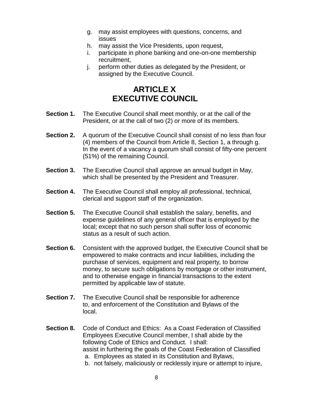- g. may assist employees with questions, concerns, and issues
- h. may assist the Vice Presidents, upon request,
- i. participate in phone banking and one-on-one membership recruitment,
- j. perform other duties as delegated by the President, or assigned by the Executive Council.

### **ARTICLE X EXECUTIVE COUNCIL**

- **Section 1.** The Executive Council shall meet monthly, or at the call of the President, or at the call of two (2) or more of its members.
- **Section 2.** A quorum of the Executive Council shall consist of no less than four (4) members of the Council from Article 8, Section 1, a through g. In the event of a vacancy a quorum shall consist of fifty-one percent (51%) of the remaining Council.
- **Section 3.** The Executive Council shall approve an annual budget in May, which shall be presented by the President and Treasurer.
- **Section 4.** The Executive Council shall employ all professional, technical, clerical and support staff of the organization.
- **Section 5.** The Executive Council shall establish the salary, benefits, and expense guidelines of any general officer that is employed by the local; except that no such person shall suffer loss of economic status as a result of such action.
- **Section 6.** Consistent with the approved budget, the Executive Council shall be empowered to make contracts and incur liabilities, including the purchase of services, equipment and real property, to borrow money, to secure such obligations by mortgage or other instrument, and to otherwise engage in financial transactions to the extent permitted by applicable law of statute.
- **Section 7.** The Executive Council shall be responsible for adherence to, and enforcement of the Constitution and Bylaws of the local.
- **Section 8.** Code of Conduct and Ethics: As a Coast Federation of Classified Employees Executive Council member, I shall abide by the following Code of Ethics and Conduct. I shall: assist in furthering the goals of the Coast Federation of Classified a. Employees as stated in its Constitution and Bylaws,
	- b. not falsely, maliciously or recklessly injure or attempt to injure,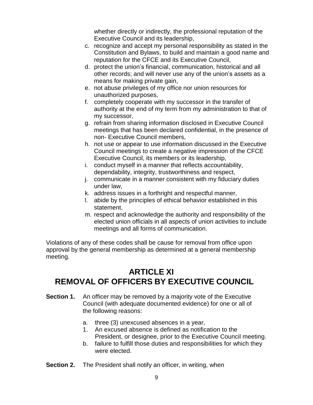whether directly or indirectly, the professional reputation of the Executive Council and its leadership,

- c. recognize and accept my personal responsibility as stated in the Constitution and Bylaws, to build and maintain a good name and reputation for the CFCE and its Executive Council,
- d. protect the union's financial, communication, historical and all other records; and will never use any of the union's assets as a means for making private gain,
- e. not abuse privileges of my office nor union resources for unauthorized purposes,
- f. completely cooperate with my successor in the transfer of authority at the end of my term from my administration to that of my successor,
- g. refrain from sharing information disclosed in Executive Council meetings that has been declared confidential, in the presence of non- Executive Council members,
- h. not use or appear to use information discussed in the Executive Council meetings to create a negative impression of the CFCE Executive Council, its members or its leadership,
- i. conduct myself in a manner that reflects accountability, dependability, integrity, trustworthiness and respect,
- j. communicate in a manner consistent with my fiduciary duties under law,
- k. address issues in a forthright and respectful manner,
- l. abide by the principles of ethical behavior established in this statement,
- m. respect and acknowledge the authority and responsibility of the elected union officials in all aspects of union activities to include meetings and all forms of communication.

Violations of any of these codes shall be cause for removal from office upon approval by the general membership as determined at a general membership meeting.

### **ARTICLE XI REMOVAL OF OFFICERS BY EXECUTIVE COUNCIL**

- **Section 1.** An officer may be removed by a majority vote of the Executive Council (with adequate documented evidence) for one or all of the following reasons:
	- a. three (3) unexcused absences in a year,
	- 1. An excused absence is defined as notification to the President, or designee, prior to the Executive Council meeting.
	- b. failure to fulfill those duties and responsibilities for which they were elected.
- **Section 2.** The President shall notify an officer, in writing, when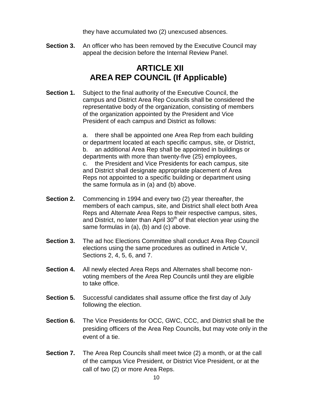they have accumulated two (2) unexcused absences.

**Section 3.** An officer who has been removed by the Executive Council may appeal the decision before the Internal Review Panel.

#### **ARTICLE XII AREA REP COUNCIL (If Applicable)**

**Section 1.** Subject to the final authority of the Executive Council, the campus and District Area Rep Councils shall be considered the representative body of the organization, consisting of members of the organization appointed by the President and Vice President of each campus and District as follows:

> a. there shall be appointed one Area Rep from each building or department located at each specific campus, site, or District, b. an additional Area Rep shall be appointed in buildings or departments with more than twenty-five (25) employees, c. the President and Vice Presidents for each campus, site and District shall designate appropriate placement of Area Reps not appointed to a specific building or department using the same formula as in (a) and (b) above.

- **Section 2.** Commencing in 1994 and every two (2) year thereafter, the members of each campus, site, and District shall elect both Area Reps and Alternate Area Reps to their respective campus, sites, and District, no later than April 30<sup>th</sup> of that election year using the same formulas in (a), (b) and (c) above.
- **Section 3.** The ad hoc Elections Committee shall conduct Area Rep Council elections using the same procedures as outlined in Article V, Sections 2, 4, 5, 6, and 7.
- **Section 4.** All newly elected Area Reps and Alternates shall become nonvoting members of the Area Rep Councils until they are eligible to take office.
- **Section 5.** Successful candidates shall assume office the first day of July following the election.
- **Section 6.** The Vice Presidents for OCC, GWC, CCC, and District shall be the presiding officers of the Area Rep Councils, but may vote only in the event of a tie.
- **Section 7.** The Area Rep Councils shall meet twice (2) a month, or at the call of the campus Vice President, or District Vice President, or at the call of two (2) or more Area Reps.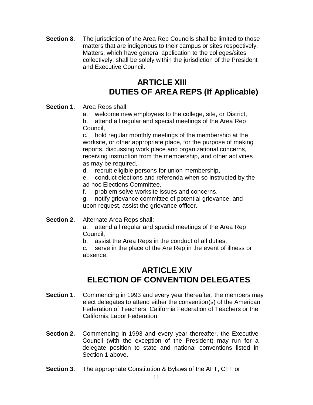**Section 8.** The jurisdiction of the Area Rep Councils shall be limited to those matters that are indigenous to their campus or sites respectively. Matters, which have general application to the colleges/sites collectively, shall be solely within the jurisdiction of the President and Executive Council.

#### **ARTICLE XIII DUTIES OF AREA REPS (If Applicable)**

#### **Section 1.** Area Reps shall:

a. welcome new employees to the college, site, or District,

b. attend all regular and special meetings of the Area Rep Council,

c. hold regular monthly meetings of the membership at the worksite, or other appropriate place, for the purpose of making reports, discussing work place and organizational concerns, receiving instruction from the membership, and other activities as may be required,

d. recruit eligible persons for union membership,

e. conduct elections and referenda when so instructed by the ad hoc Elections Committee,

f. problem solve worksite issues and concerns,

g. notify grievance committee of potential grievance, and upon request, assist the grievance officer.

#### **Section 2.** Alternate Area Reps shall:

a. attend all regular and special meetings of the Area Rep Council,

b. assist the Area Reps in the conduct of all duties,

c. serve in the place of the Are Rep in the event of illness or absence.

#### **ARTICLE XIV ELECTION OF CONVENTION DELEGATES**

- **Section 1.** Commencing in 1993 and every year thereafter, the members may elect delegates to attend either the convention(s) of the American Federation of Teachers, California Federation of Teachers or the California Labor Federation.
- **Section 2.** Commencing in 1993 and every year thereafter, the Executive Council (with the exception of the President) may run for a delegate position to state and national conventions listed in Section 1 above.
- **Section 3.** The appropriate Constitution & Bylaws of the AFT, CFT or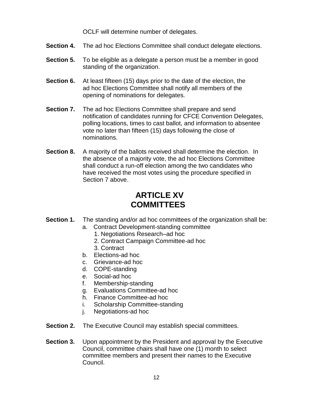OCLF will determine number of delegates.

- **Section 4.** The ad hoc Elections Committee shall conduct delegate elections.
- **Section 5.** To be eligible as a delegate a person must be a member in good standing of the organization.
- **Section 6.** At least fifteen (15) days prior to the date of the election, the ad hoc Elections Committee shall notify all members of the opening of nominations for delegates.
- **Section 7.** The ad hoc Elections Committee shall prepare and send notification of candidates running for CFCE Convention Delegates, polling locations, times to cast ballot, and information to absentee vote no later than fifteen (15) days following the close of nominations.
- **Section 8.** A majority of the ballots received shall determine the election. In the absence of a majority vote, the ad hoc Elections Committee shall conduct a run-off election among the two candidates who have received the most votes using the procedure specified in Section 7 above.

#### **ARTICLE XV COMMITTEES**

- **Section 1.** The standing and/or ad hoc committees of the organization shall be:
	- a. Contract Development-standing committee
		- 1. Negotiations Research–ad hoc
			- 2. Contract Campaign Committee-ad hoc
			- 3. Contract
	- b. Elections-ad hoc
	- c. Grievance-ad hoc
	- d. COPE-standing
	- e. Social-ad hoc
	- f. Membership-standing
	- g. Evaluations Committee-ad hoc
	- h. Finance Committee-ad hoc
	- i. Scholarship Committee-standing
	- j. Negotiations-ad hoc
- **Section 2.** The Executive Council may establish special committees.
- **Section 3.** Upon appointment by the President and approval by the Executive Council, committee chairs shall have one (1) month to select committee members and present their names to the Executive Council.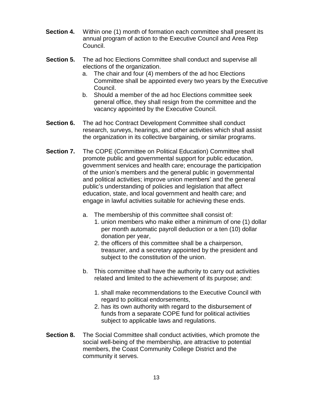- **Section 4.** Within one (1) month of formation each committee shall present its annual program of action to the Executive Council and Area Rep Council.
- **Section 5.** The ad hoc Elections Committee shall conduct and supervise all elections of the organization.
	- a. The chair and four (4) members of the ad hoc Elections Committee shall be appointed every two years by the Executive Council.
	- b. Should a member of the ad hoc Elections committee seek general office, they shall resign from the committee and the vacancy appointed by the Executive Council.
- **Section 6.** The ad hoc Contract Development Committee shall conduct research, surveys, hearings, and other activities which shall assist the organization in its collective bargaining, or similar programs.
- **Section 7.** The COPE (Committee on Political Education) Committee shall promote public and governmental support for public education, government services and health care; encourage the participation of the union's members and the general public in governmental and political activities; improve union members' and the general public's understanding of policies and legislation that affect education, state, and local government and health care; and engage in lawful activities suitable for achieving these ends.
	- a. The membership of this committee shall consist of:
		- 1. union members who make either a minimum of one (1) dollar per month automatic payroll deduction or a ten (10) dollar donation per year,
		- 2. the officers of this committee shall be a chairperson, treasurer, and a secretary appointed by the president and subject to the constitution of the union.
	- b. This committee shall have the authority to carry out activities related and limited to the achievement of its purpose; and:
		- 1. shall make recommendations to the Executive Council with regard to political endorsements,
		- 2. has its own authority with regard to the disbursement of funds from a separate COPE fund for political activities subject to applicable laws and regulations.
- **Section 8.** The Social Committee shall conduct activities, which promote the social well-being of the membership, are attractive to potential members, the Coast Community College District and the community it serves.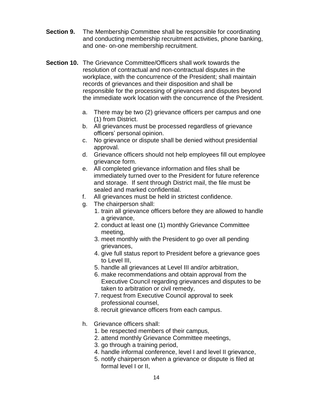- **Section 9.** The Membership Committee shall be responsible for coordinating and conducting membership recruitment activities, phone banking, and one- on-one membership recruitment.
- **Section 10.** The Grievance Committee/Officers shall work towards the resolution of contractual and non-contractual disputes in the workplace, with the concurrence of the President; shall maintain records of grievances and their disposition and shall be responsible for the processing of grievances and disputes beyond the immediate work location with the concurrence of the President.
	- a. There may be two (2) grievance officers per campus and one (1) from District.
	- b. All grievances must be processed regardless of grievance officers' personal opinion.
	- c. No grievance or dispute shall be denied without presidential approval.
	- d. Grievance officers should not help employees fill out employee grievance form.
	- e. All completed grievance information and files shall be immediately turned over to the President for future reference and storage. If sent through District mail, the file must be sealed and marked confidential.
	- f. All grievances must be held in strictest confidence.
	- g. The chairperson shall:
		- 1. train all grievance officers before they are allowed to handle a grievance,
		- 2. conduct at least one (1) monthly Grievance Committee meeting,
		- 3. meet monthly with the President to go over all pending grievances,
		- 4. give full status report to President before a grievance goes to Level III,
		- 5. handle all grievances at Level III and/or arbitration,
		- 6. make recommendations and obtain approval from the Executive Council regarding grievances and disputes to be taken to arbitration or civil remedy,
		- 7. request from Executive Council approval to seek professional counsel,
		- 8. recruit grievance officers from each campus.
	- h. Grievance officers shall:
		- 1. be respected members of their campus,
		- 2. attend monthly Grievance Committee meetings,
		- 3. go through a training period,
		- 4. handle informal conference, level I and level II grievance,
		- 5. notify chairperson when a grievance or dispute is filed at formal level I or II,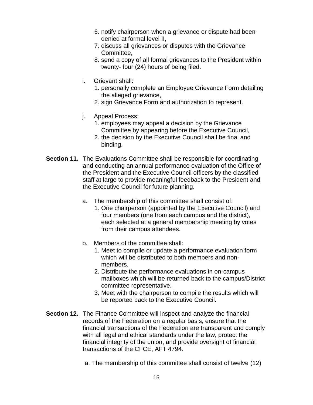- 6. notify chairperson when a grievance or dispute had been denied at formal level II,
- 7. discuss all grievances or disputes with the Grievance Committee,
- 8. send a copy of all formal grievances to the President within twenty- four (24) hours of being filed.
- i. Grievant shall:
	- 1. personally complete an Employee Grievance Form detailing the alleged grievance,
	- 2. sign Grievance Form and authorization to represent.
- j. Appeal Process:
	- 1. employees may appeal a decision by the Grievance Committee by appearing before the Executive Council,
	- 2. the decision by the Executive Council shall be final and binding.
- **Section 11.** The Evaluations Committee shall be responsible for coordinating and conducting an annual performance evaluation of the Office of the President and the Executive Council officers by the classified staff at large to provide meaningful feedback to the President and the Executive Council for future planning.
	- a. The membership of this committee shall consist of:
		- 1. One chairperson (appointed by the Executive Council) and four members (one from each campus and the district), each selected at a general membership meeting by votes from their campus attendees.
	- b. Members of the committee shall:
		- 1. Meet to compile or update a performance evaluation form which will be distributed to both members and nonmembers.
		- 2. Distribute the performance evaluations in on-campus mailboxes which will be returned back to the campus/District committee representative.
		- 3. Meet with the chairperson to compile the results which will be reported back to the Executive Council.
- **Section 12.** The Finance Committee will inspect and analyze the financial records of the Federation on a regular basis, ensure that the financial transactions of the Federation are transparent and comply with all legal and ethical standards under the law, protect the financial integrity of the union, and provide oversight of financial transactions of the CFCE, AFT 4794.
	- a. The membership of this committee shall consist of twelve (12)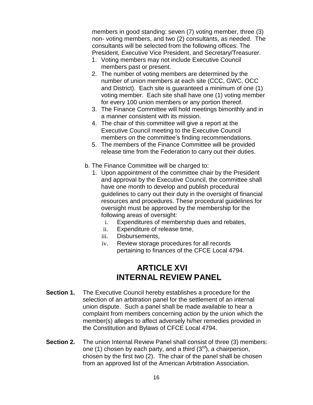members in good standing: seven (7) voting member, three (3) non- voting members, and two (2) consultants, as needed. The consultants will be selected from the following offices: The President, Executive Vice President, and Secretary/Treasurer.

- 1. Voting members may not include Executive Council members past or present.
- 2. The number of voting members are determined by the number of union members at each site (CCC, GWC, OCC and District). Each site is guaranteed a minimum of one (1) voting member. Each site shall have one (1) voting member for every 100 union members or any portion thereof.
- 3. The Finance Committee will hold meetings bimonthly and in a manner consistent with its mission.
- 4. The chair of this committee will give a report at the Executive Council meeting to the Executive Council members on the committee's finding recommendations.
- 5. The members of the Finance Committee will be provided release time from the Federation to carry out their duties.
- b. The Finance Committee will be charged to:
	- 1. Upon appointment of the committee chair by the President and approval by the Executive Council, the committee shall have one month to develop and publish procedural guidelines to carry out their duty in the oversight of financial resources and procedures. These procedural guidelines for oversight must be approved by the membership for the following areas of oversight:
		- i. Expenditures of membership dues and rebates,
		- ii. Expenditure of release time,
		- iii. Disbursements,
		- iv. Review storage procedures for all records pertaining to finances of the CFCE Local 4794.

#### **ARTICLE XVI INTERNAL REVIEW PANEL**

- **Section 1.** The Executive Council hereby establishes a procedure for the selection of an arbitration panel for the settlement of an internal union dispute. Such a panel shall be made available to hear a complaint from members concerning action by the union which the member(s) alleges to affect adversely hi/her remedies provided in the Constitution and Bylaws of CFCE Local 4794.
- **Section 2.** The union Internal Review Panel shall consist of three (3) members: one (1) chosen by each party, and a third  $(3<sup>rd</sup>)$ , a chairperson, chosen by the first two (2). The chair of the panel shall be chosen from an approved list of the American Arbitration Association.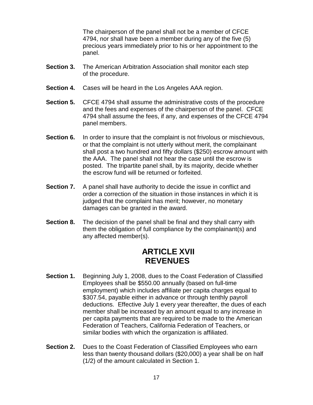The chairperson of the panel shall not be a member of CFCE 4794, nor shall have been a member during any of the five (5) precious years immediately prior to his or her appointment to the panel.

- **Section 3.** The American Arbitration Association shall monitor each step of the procedure.
- **Section 4.** Cases will be heard in the Los Angeles AAA region.
- **Section 5.** CFCE 4794 shall assume the administrative costs of the procedure and the fees and expenses of the chairperson of the panel. CFCE 4794 shall assume the fees, if any, and expenses of the CFCE 4794 panel members.
- **Section 6.** In order to insure that the complaint is not frivolous or mischievous, or that the complaint is not utterly without merit, the complainant shall post a two hundred and fifty dollars (\$250) escrow amount with the AAA. The panel shall not hear the case until the escrow is posted. The tripartite panel shall, by its majority, decide whether the escrow fund will be returned or forfeited.
- **Section 7.** A panel shall have authority to decide the issue in conflict and order a correction of the situation in those instances in which it is judged that the complaint has merit; however, no monetary damages can be granted in the award.
- **Section 8.** The decision of the panel shall be final and they shall carry with them the obligation of full compliance by the complainant(s) and any affected member(s).

#### **ARTICLE XVII REVENUES**

- **Section 1.** Beginning July 1, 2008, dues to the Coast Federation of Classified Employees shall be \$550.00 annually (based on full-time employment) which includes affiliate per capita charges equal to \$307.54, payable either in advance or through tenthly payroll deductions. Effective July 1 every year thereafter, the dues of each member shall be increased by an amount equal to any increase in per capita payments that are required to be made to the American Federation of Teachers, California Federation of Teachers, or similar bodies with which the organization is affiliated.
- **Section 2.** Dues to the Coast Federation of Classified Employees who earn less than twenty thousand dollars (\$20,000) a year shall be on half (1/2) of the amount calculated in Section 1.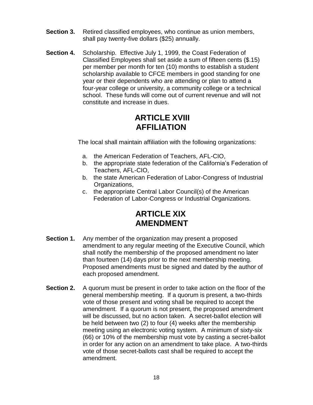- **Section 3.** Retired classified employees, who continue as union members, shall pay twenty-five dollars (\$25) annually.
- **Section 4.** Scholarship. Effective July 1, 1999, the Coast Federation of Classified Employees shall set aside a sum of fifteen cents (\$.15) per member per month for ten (10) months to establish a student scholarship available to CFCE members in good standing for one year or their dependents who are attending or plan to attend a four-year college or university, a community college or a technical school. These funds will come out of current revenue and will not constitute and increase in dues.

#### **ARTICLE XVIII AFFILIATION**

The local shall maintain affiliation with the following organizations:

- a. the American Federation of Teachers, AFL-CIO,
- b. the appropriate state federation of the California's Federation of Teachers, AFL-CIO,
- b. the state American Federation of Labor-Congress of Industrial Organizations,
- c. the appropriate Central Labor Council(s) of the American Federation of Labor-Congress or Industrial Organizations.

#### **ARTICLE XIX AMENDMENT**

- **Section 1.** Any member of the organization may present a proposed amendment to any regular meeting of the Executive Council, which shall notify the membership of the proposed amendment no later than fourteen (14) days prior to the next membership meeting. Proposed amendments must be signed and dated by the author of each proposed amendment.
- **Section 2.** A quorum must be present in order to take action on the floor of the general membership meeting. If a quorum is present, a two-thirds vote of those present and voting shall be required to accept the amendment. If a quorum is not present, the proposed amendment will be discussed, but no action taken. A secret-ballot election will be held between two (2) to four (4) weeks after the membership meeting using an electronic voting system. A minimum of sixty-six (66) or 10% of the membership must vote by casting a secret-ballot in order for any action on an amendment to take place. A two-thirds vote of those secret-ballots cast shall be required to accept the amendment.